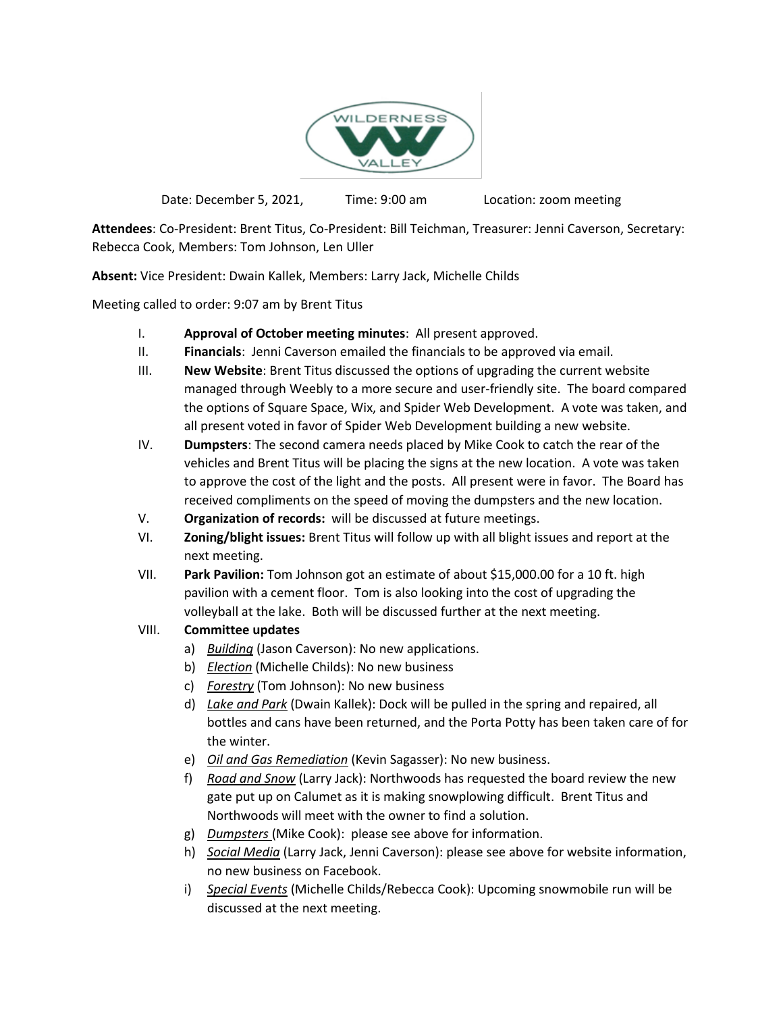

Date: December 5, 2021, Time: 9:00 am Location: zoom meeting

**Attendees**: Co-President: Brent Titus, Co-President: Bill Teichman, Treasurer: Jenni Caverson, Secretary: Rebecca Cook, Members: Tom Johnson, Len Uller

**Absent:** Vice President: Dwain Kallek, Members: Larry Jack, Michelle Childs

Meeting called to order: 9:07 am by Brent Titus

- I. **Approval of October meeting minutes**: All present approved.
- II. **Financials**: Jenni Caverson emailed the financials to be approved via email.
- III. **New Website**: Brent Titus discussed the options of upgrading the current website managed through Weebly to a more secure and user-friendly site. The board compared the options of Square Space, Wix, and Spider Web Development. A vote was taken, and all present voted in favor of Spider Web Development building a new website.
- IV. **Dumpsters**: The second camera needs placed by Mike Cook to catch the rear of the vehicles and Brent Titus will be placing the signs at the new location. A vote was taken to approve the cost of the light and the posts. All present were in favor. The Board has received compliments on the speed of moving the dumpsters and the new location.
- V. **Organization of records:** will be discussed at future meetings.
- VI. **Zoning/blight issues:** Brent Titus will follow up with all blight issues and report at the next meeting.
- VII. **Park Pavilion:** Tom Johnson got an estimate of about \$15,000.00 for a 10 ft. high pavilion with a cement floor. Tom is also looking into the cost of upgrading the volleyball at the lake. Both will be discussed further at the next meeting.
- VIII. **Committee updates**
	- a) *Building* (Jason Caverson): No new applications.
	- b) *Election* (Michelle Childs): No new business
	- c) *Forestry* (Tom Johnson): No new business
	- d) *Lake and Park* (Dwain Kallek): Dock will be pulled in the spring and repaired, all bottles and cans have been returned, and the Porta Potty has been taken care of for the winter.
	- e) *Oil and Gas Remediation* (Kevin Sagasser): No new business.
	- f) *Road and Snow* (Larry Jack): Northwoods has requested the board review the new gate put up on Calumet as it is making snowplowing difficult. Brent Titus and Northwoods will meet with the owner to find a solution.
	- g) *Dumpsters* (Mike Cook): please see above for information.
	- h) *Social Media* (Larry Jack, Jenni Caverson): please see above for website information, no new business on Facebook.
	- i) *Special Events* (Michelle Childs/Rebecca Cook): Upcoming snowmobile run will be discussed at the next meeting.